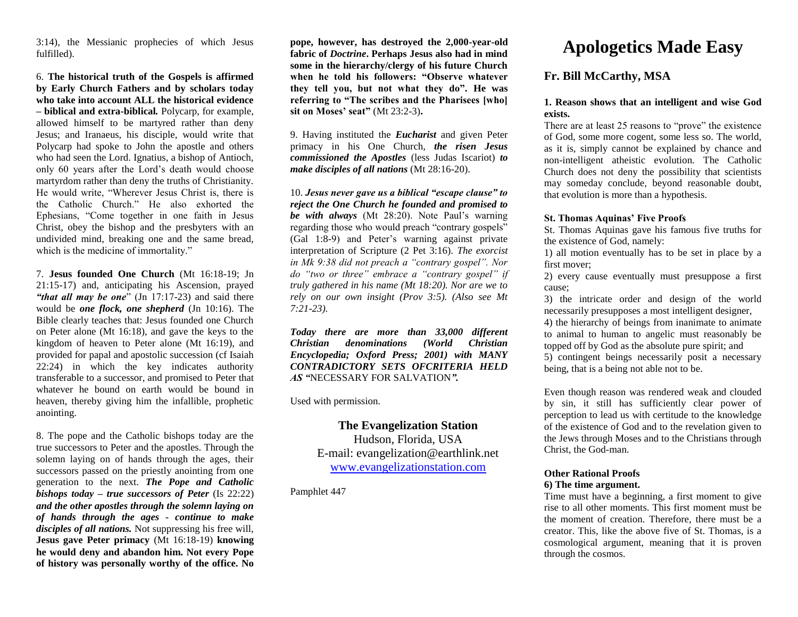3:14), the Messianic prophecies of which Jesus fulfilled).

6. **The historical truth of the Gospels is affirmed by Early Church Fathers and by scholars today who take into account ALL the historical evidence – biblical and extra-biblical***.* Polycarp, for example, allowed himself to be martyred rather than deny Jesus; and Iranaeus, his disciple, would write that Polycarp had spoke to John the apostle and others who had seen the Lord. Ignatius, a bishop of Antioch, only 60 years after the Lord's death would choose martyrdom rather than deny the truths of Christianity. He would write, "Wherever Jesus Christ is, there is the Catholic Church." He also exhorted the Ephesians, "Come together in one faith in Jesus Christ, obey the bishop and the presbyters with an undivided mind, breaking one and the same bread, which is the medicine of immortality."

7. **Jesus founded One Church** (Mt 16:18-19; Jn 21:15-17) and, anticipating his Ascension, prayed "that all may be one" (Jn 17:17-23) and said there would be *one flock, one shepherd* (Jn 10:16). The Bible clearly teaches that: Jesus founded one Church on Peter alone (Mt 16:18), and gave the keys to the kingdom of heaven to Peter alone (Mt 16:19), and provided for papal and apostolic succession (cf Isaiah 22:24) in which the key indicates authority transferable to a successor, and promised to Peter that whatever he bound on earth would be bound in heaven, thereby giving him the infallible, prophetic anointing.

8. The pope and the Catholic bishops today are the true successors to Peter and the apostles. Through the solemn laying on of hands through the ages, their successors passed on the priestly anointing from one generation to the next. *The Pope and Catholic bishops today – true successors of Peter* (Is 22:22) *and the other apostles through the solemn laying on of hands through the ages - continue to make disciples of all nations.* Not suppressing his free will, **Jesus gave Peter primacy** (Mt 16:18-19) **knowing he would deny and abandon him. Not every Pope of history was personally worthy of the office. No** 

**pope, however, has destroyed the 2,000-year-old fabric of** *Doctrine***. Perhaps Jesus also had in mind some in the hierarchy/clergy of his future Church when he told his followers: "Observe whatever they tell you, but not what they do". He was referring to "The scribes and the Pharisees [who] sit on Moses' seat"** (Mt 23:2-3)**.**

9. Having instituted the *Eucharist* and given Peter primacy in his One Church, *the risen Jesus commissioned the Apostles* (less Judas Iscariot) *to make disciples of all nations* (Mt 28:16-20).

10. *Jesus never gave us a biblical "escape clause" to reject the One Church he founded and promised to be with always* (Mt 28:20). Note Paul's warning regarding those who would preach "contrary gospels" (Gal 1:8-9) and Peter's warning against private interpretation of Scripture (2 Pet 3:16). *The exorcist in Mk 9:38 did not preach a "contrary gospel". Nor do "two or three" embrace a "contrary gospel" if truly gathered in his name (Mt 18:20). Nor are we to rely on our own insight (Prov 3:5). (Also see Mt 7:21-23).*

*Today there are more than 33,000 different Christian denominations (World Christian Encyclopedia; Oxford Press; 2001) with MANY CONTRADICTORY SETS OFCRITERIA HELD AS "*NECESSARY FOR SALVATION*".*

Used with permission.

**The Evangelization Station**  Hudson, Florida, USA E-mail: evangelization@earthlink.net [www.evangelizationstation.com](http://www.pjpiisoe.org/)

Pamphlet 447

# **Apologetics Made Easy**

# **Fr. Bill McCarthy, MSA**

## **1. Reason shows that an intelligent and wise God exists.**

There are at least 25 reasons to "prove" the existence of God, some more cogent, some less so. The world, as it is, simply cannot be explained by chance and non-intelligent atheistic evolution. The Catholic Church does not deny the possibility that scientists may someday conclude, beyond reasonable doubt, that evolution is more than a hypothesis.

#### **St. Thomas Aquinas' Five Proofs**

St. Thomas Aquinas gave his famous five truths for the existence of God, namely:

1) all motion eventually has to be set in place by a first mover;

2) every cause eventually must presuppose a first cause;

3) the intricate order and design of the world necessarily presupposes a most intelligent designer,

4) the hierarchy of beings from inanimate to animate to animal to human to angelic must reasonably be topped off by God as the absolute pure spirit; and 5) contingent beings necessarily posit a necessary being, that is a being not able not to be.

Even though reason was rendered weak and clouded by sin, it still has sufficiently clear power of perception to lead us with certitude to the knowledge of the existence of God and to the revelation given to the Jews through Moses and to the Christians through Christ, the God-man.

#### **Other Rational Proofs 6) The time argument.**

Time must have a beginning, a first moment to give rise to all other moments. This first moment must be the moment of creation. Therefore, there must be a creator. This, like the above five of St. Thomas, is a cosmological argument, meaning that it is proven through the cosmos.